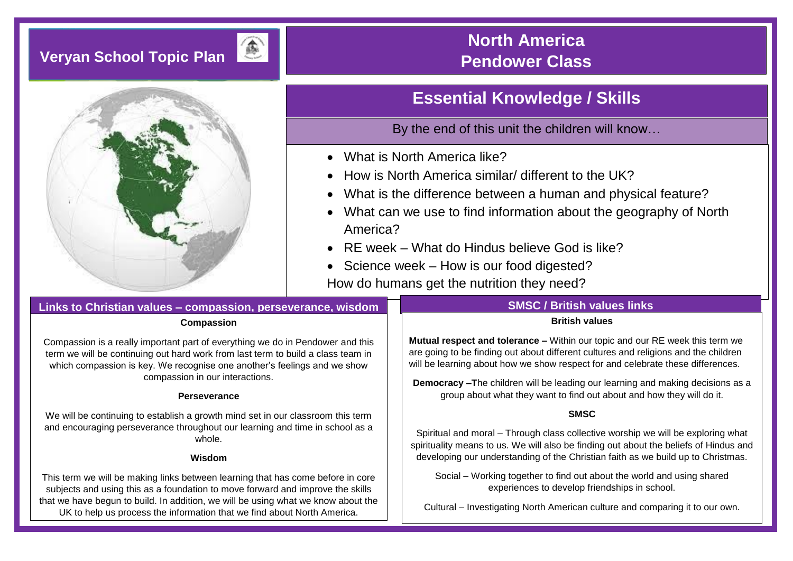# **Veryan School Topic Plan**



## **North America Pendower Class**

## **Essential Knowledge / Skills**

By the end of this unit the children will know…

- What is North America like?
- How is North America similar/ different to the UK?
- What is the difference between a human and physical feature?
- What can we use to find information about the geography of North America?
- $\bullet$  RF week What do Hindus believe God is like?
- Science week How is our food digested?

How do humans get the nutrition they need?

## **Links to Christian values – compassion, perseverance, wisdom**

#### **Compassion**

Compassion is a really important part of everything we do in Pendower and this term we will be continuing out hard work from last term to build a class team in which compassion is key. We recognise one another's feelings and we show compassion in our interactions.

### **Perseverance**

We will be continuing to establish a growth mind set in our classroom this term and encouraging perseverance throughout our learning and time in school as a whole.

#### **Wisdom**

This term we will be making links between learning that has come before in core subjects and using this as a foundation to move forward and improve the skills that we have begun to build. In addition, we will be using what we know about the UK to help us process the information that we find about North America.

### **SMSC / British values links**

#### **British values**

**Mutual respect and tolerance –** Within our topic and our RE week this term we are going to be finding out about different cultures and religions and the children will be learning about how we show respect for and celebrate these differences.

**Democracy –T**he children will be leading our learning and making decisions as a group about what they want to find out about and how they will do it.

### **SMSC**

Spiritual and moral – Through class collective worship we will be exploring what spirituality means to us. We will also be finding out about the beliefs of Hindus and developing our understanding of the Christian faith as we build up to Christmas.

Social – Working together to find out about the world and using shared experiences to develop friendships in school.

Cultural – Investigating North American culture and comparing it to our own.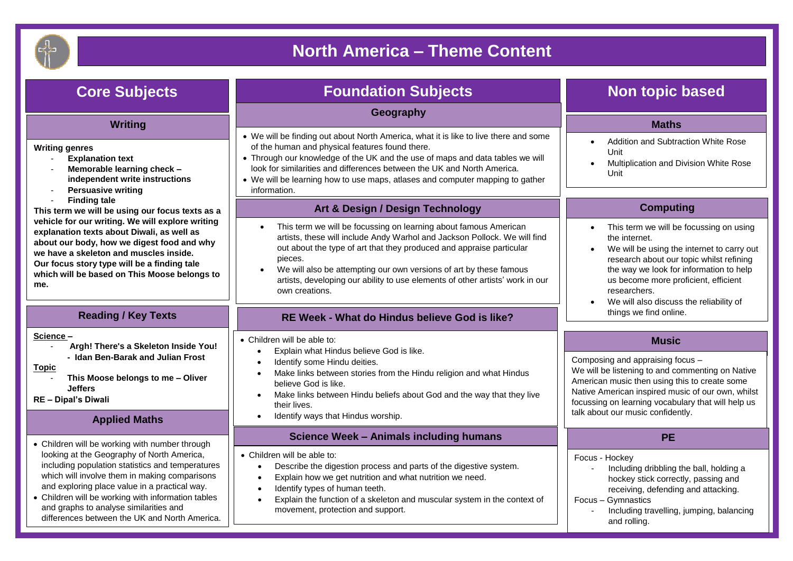

## **North America – Theme Content**

| <b>Core Subjects</b>                                                                                                                                                                                                                                                                                                                                                                                | <b>Foundation Subjects</b>                                                                                                                                                                                                                                                                                                                                                                                             | <b>Non topic based</b>                                                                                                                                                                                                                                                                                        |
|-----------------------------------------------------------------------------------------------------------------------------------------------------------------------------------------------------------------------------------------------------------------------------------------------------------------------------------------------------------------------------------------------------|------------------------------------------------------------------------------------------------------------------------------------------------------------------------------------------------------------------------------------------------------------------------------------------------------------------------------------------------------------------------------------------------------------------------|---------------------------------------------------------------------------------------------------------------------------------------------------------------------------------------------------------------------------------------------------------------------------------------------------------------|
|                                                                                                                                                                                                                                                                                                                                                                                                     | Geography                                                                                                                                                                                                                                                                                                                                                                                                              |                                                                                                                                                                                                                                                                                                               |
| <b>Writing</b><br><b>Writing genres</b><br><b>Explanation text</b><br>$\blacksquare$<br>Memorable learning check -<br>independent write instructions<br><b>Persuasive writing</b><br>$\blacksquare$                                                                                                                                                                                                 | • We will be finding out about North America, what it is like to live there and some<br>of the human and physical features found there.<br>• Through our knowledge of the UK and the use of maps and data tables we will<br>look for similarities and differences between the UK and North America.<br>• We will be learning how to use maps, atlases and computer mapping to gather<br>information.                   | <b>Maths</b><br>Addition and Subtraction White Rose<br>Unit<br>Multiplication and Division White Rose<br>Unit                                                                                                                                                                                                 |
| <b>Finding tale</b><br>$\blacksquare$<br>This term we will be using our focus texts as a<br>vehicle for our writing. We will explore writing<br>explanation texts about Diwali, as well as<br>about our body, how we digest food and why<br>we have a skeleton and muscles inside.<br>Our focus story type will be a finding tale<br>which will be based on This Moose belongs to<br>me.            | Art & Design / Design Technology                                                                                                                                                                                                                                                                                                                                                                                       | <b>Computing</b>                                                                                                                                                                                                                                                                                              |
|                                                                                                                                                                                                                                                                                                                                                                                                     | This term we will be focussing on learning about famous American<br>artists, these will include Andy Warhol and Jackson Pollock. We will find<br>out about the type of art that they produced and appraise particular<br>pieces.<br>We will also be attempting our own versions of art by these famous<br>$\bullet$<br>artists, developing our ability to use elements of other artists' work in our<br>own creations. | This term we will be focussing on using<br>the internet.<br>We will be using the internet to carry out<br>$\bullet$<br>research about our topic whilst refining<br>the way we look for information to help<br>us become more proficient, efficient<br>researchers.<br>We will also discuss the reliability of |
| <b>Reading / Key Texts</b>                                                                                                                                                                                                                                                                                                                                                                          | RE Week - What do Hindus believe God is like?                                                                                                                                                                                                                                                                                                                                                                          | things we find online.                                                                                                                                                                                                                                                                                        |
| Science-<br>Argh! There's a Skeleton Inside You!<br>- Idan Ben-Barak and Julian Frost<br><b>Topic</b><br>This Moose belongs to me - Oliver<br><b>Jeffers</b><br><b>RE-Dipal's Diwali</b>                                                                                                                                                                                                            | • Children will be able to:<br>Explain what Hindus believe God is like.<br>$\bullet$<br>Identify some Hindu deities.<br>$\bullet$<br>Make links between stories from the Hindu religion and what Hindus<br>$\bullet$<br>believe God is like.<br>Make links between Hindu beliefs about God and the way that they live<br>$\bullet$<br>their lives.                                                                     | <b>Music</b><br>Composing and appraising focus -<br>We will be listening to and commenting on Native<br>American music then using this to create some<br>Native American inspired music of our own, whilst<br>focussing on learning vocabulary that will help us                                              |
| <b>Applied Maths</b>                                                                                                                                                                                                                                                                                                                                                                                | Identify ways that Hindus worship.<br>$\bullet$                                                                                                                                                                                                                                                                                                                                                                        | talk about our music confidently.                                                                                                                                                                                                                                                                             |
| • Children will be working with number through<br>looking at the Geography of North America,<br>including population statistics and temperatures<br>which will involve them in making comparisons<br>and exploring place value in a practical way.<br>• Children will be working with information tables<br>and graphs to analyse similarities and<br>differences between the UK and North America. | <b>Science Week - Animals including humans</b><br>• Children will be able to:<br>Describe the digestion process and parts of the digestive system.<br>$\bullet$<br>Explain how we get nutrition and what nutrition we need.<br>$\bullet$<br>Identify types of human teeth.<br>$\bullet$<br>Explain the function of a skeleton and muscular system in the context of<br>$\bullet$<br>movement, protection and support.  | <b>PE</b><br>Focus - Hockey<br>Including dribbling the ball, holding a<br>hockey stick correctly, passing and<br>receiving, defending and attacking.<br>Focus - Gymnastics<br>Including travelling, jumping, balancing<br>and rolling.                                                                        |